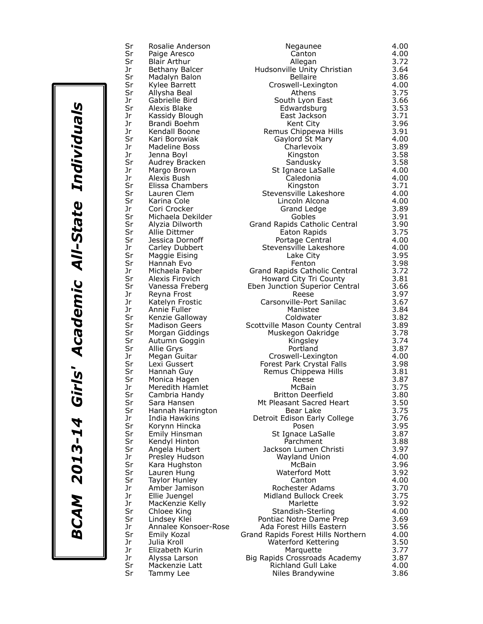Sr Rosalie Anderson<br>Sr Paige Aresco Sr Paige Aresco<br>Sr Blair Arthur Sr Blair Arthur<br>Jr Bethany Bal Jr Bethany Balcer<br>Sr Madalyn Balon<br>Sr Kylee Barrett Madalyn Balon Sr Kylee Barrett<br>Sr Allysha Beal Sr Allysha Beal<br>Jr Gabrielle Bir Jr Gabrielle Bird<br>Sr Alexis Blake Alexis Blake Jr Kassidy Blough Jr Brandi Boehm Jr Kendall Boone Sr Kari Borowiak<br>Jr Madeline Boss Jr Madeline Boss<br>Jr Jenna Bovl Jr Jenna Boyl<br>Sr Audrey Bra Sr Audrey Bracken<br>Jr Margo Brown Margo Brown Jr Alexis Bush<br>Sr Elissa Cham Elissa Chambers Sr Lauren Clem<br>Sr Karina Cole Sr Karina Cole<br>Jr Cori Crocke Jr Cori Crocker<br>Sr Michaela Del Sr Michaela Dekilder<br>Sr Alyzia Dilworth Sr Alyzia Dilworth<br>Sr Allie Dittmer Sr Allie Dittmer<br>Sr Jessica Dorn Sr Jessica Dornoff<br>Jr Carley Dubbert Jr Carley Dubbert<br>Sr Maggie Eising Sr Maggie Eising<br>Sr Hannah Evo Sr Hannah Evo<br>Jr Michaela Fal Jr Michaela Faber<br>Sr Alexis Firovich Sr Alexis Firovich<br>Sr Vanessa Frebe Sr Vanessa Freberg<br>Jr Reyna Frost Reyna Frost Jr Katelyn Frostic Jr Annie Fuller Sr Kenzie Galloway<br>Sr Madison Geers 3.822 Sr Madison Geers<br>Sr Morgan Gidding Sr Morgan Giddings<br>Sr Autumn Goggin Sr Autumn Goggin<br>Sr Allie Grys Sr Allie Grys<br>Jr Megan Gu Jr Megan Guitar<br>Sr Lexi Gussert Sr Lexi Gussert<br>Sr Hannah Guy Sr Hannah Guy<br>Sr Monica Hage Sr Monica Hagen<br>Jr Meredith Ham Jr Meredith Hamlet<br>Sr Cambria Handy Sr Cambria Handy<br>Sr Sara Hansen Sr Sara Hansen<br>Sr Hannah Harr Sr Hannah Harrington<br>Jr India Hawkins Jr India Hawkins<br>Sr Korynn Hincka Sr Korynn Hincka<br>Sr Emily Hinsman Sr Emily Hinsman<br>Sr Kendyl Hinton Kendyl Hinton Sr Angela Hubert Jr Presley Hudson<br>Sr Kara Hughston Sr Kara Hughston<br>Sr Lauren Hung Sr Lauren Hung<br>Sr Taylor Hunley Sr Taylor Hunley<br>Jr Amber Jamiso Jr Amber Jamison<br>Jr Ellie Juengel Ellie Juengel Jr MacKenzie Kelly Sr Chloee King<br>Sr Lindsey Klei Sr Lindsey Klei<br>Jr Annalee Kor Jr Annalee Konsoer-Rose<br>Sr Emily Kozal Sr Emily Kozal<br>Jr Julia Kroll Jr Julia Kroll<br>Jr Elizabeth Jr Marki Elizabeth Kurin Marquette 3.777 Elizabeth Kurin Marquette 3.778.777 Elizabethe 3.777 Elizabethe 3.777<br>Marquette 3.777 Elizabethe 3.777 Elizabethe 3.777 Elizabethe 3.777 Elizabethe 3.777 Elizabethe 3.777 Elizabeth Alyssa Larson Sr Mackenzie Latt<br>Sr Tammy Lee Tammy Lee

| Negaunee                                       | 4.00         |
|------------------------------------------------|--------------|
| Canton                                         | 4.00         |
| Allegan                                        | 3.72         |
| Hudsonville Unity Christian<br><b>Bellaire</b> | 3.64<br>3.86 |
| Croswell-Lexington                             | 4.00         |
| Athens                                         | 3.75         |
| South Lyon East                                | 3.66         |
| Edwardsburg                                    | 3.53         |
| East Jackson                                   | 3.71         |
| Kent City                                      | 3.96         |
| Remus Chippewa Hills                           | 3.91         |
| Gaylord St Mary                                | 4.00         |
| Charlevoix                                     | 3.89         |
| Kingston                                       | 3.58         |
|                                                | 3.58         |
| Sandusky<br>St Ignace LaSalle                  | 4.00         |
| Caledonia                                      | 4.00         |
| Kingston                                       | 3.71         |
| Stevensville Lakeshore                         | 4.00         |
| Lincoln Alcona                                 | 4.00         |
| <b>Grand Ledge</b>                             | 3.89         |
| Gobles                                         | 3.91         |
| Grand Rapids Catholic Central                  | 3.90         |
| Eaton Rapids                                   | 3.75         |
| Portage Central                                | 4.00         |
| Stevensville Lakeshore                         | 4.00         |
| Lake City                                      | 3.95         |
| Fenton                                         | 3.98         |
| Grand Rapids Catholic Central                  | 3.72         |
| Howard City Tri County                         | 3.81         |
| Eben Junction Superior Central                 | 3.66         |
| Reese                                          | 3.97         |
| Carsonville-Port Sanilac                       | 3.67         |
| Manistee                                       | 3.84         |
| Coldwater                                      | 3.82         |
| Scottville Mason County Central                | 3.89         |
| Muskegon Oakridge                              | 3.78         |
| Kingsley                                       | 3.74         |
| Portland                                       | 3.87         |
| Croswell-Lexington                             | 4.00         |
| Forest Park Crystal Falls                      | 3.98         |
| Remus Chippewa Hills                           | 3.81         |
| Reese                                          | 3.87         |
| McBain                                         | 3.75         |
| Britton Deerfield                              | 3.80         |
| Mt Pleasant Sacred Heart                       | 3.50         |
| Bear Lake                                      | 3.75         |
| Detroit Edison Early College                   | 3.76         |
| Posen                                          | 3.95         |
| St Ignace LaSalle                              | 3.87         |
| Parchment                                      | 3.88         |
| Jackson Lumen Christi                          | 3.97         |
| <b>Wayland Union</b>                           | 4.00         |
| McBain                                         | 3.96         |
| <b>Waterford Mott</b>                          | 3.92         |
| Canton                                         | 4.00         |
| Rochester Adams                                | 3.70         |
| Midland Bullock Creek                          | 3.75         |
| Marlette                                       | 3.92         |
| Standish-Sterling                              | 4.00         |
| Pontiac Notre Dame Prep                        | 3.69         |
| Ada Forest Hills Eastern                       | 3.56         |
| and Rapids Forest Hills Northern               | 4.00         |
| Waterford Kettering                            | 3.50         |
| Marquette                                      | 3.77         |
| Big Rapids Crossroads Academy                  | 3.87         |
| <b>Richland Gull Lake</b>                      | 4.00         |
| Niles Brandywine                               | 3.86         |
|                                                |              |